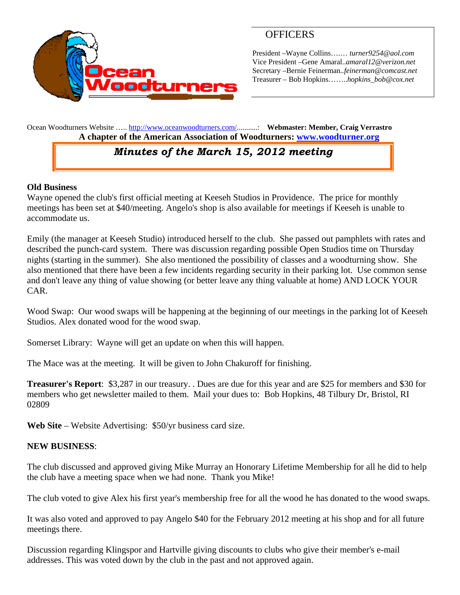

## **OFFICERS**

President –Wayne Collins….… *turner9254@aol.com*  Vice President –Gene Amaral..*amaral12@verizon.net* Secretary –Bernie Feinerman*..feinerman@comcast.net*  Treasurer – Bob Hopkins……..*hopkins\_bob@cox.net*

Ocean Woodturners Website ….. http://www.oceanwoodturners.com/...........: **Webmaster: Member, Craig Verrastro A chapter of the American Association of Woodturners: www.woodturner.org** 

# *Minutes of the March 15, 2012 meeting*

### **Old Business**

Wayne opened the club's first official meeting at Keeseh Studios in Providence. The price for monthly meetings has been set at \$40/meeting. Angelo's shop is also available for meetings if Keeseh is unable to accommodate us.

Emily (the manager at Keeseh Studio) introduced herself to the club. She passed out pamphlets with rates and described the punch-card system. There was discussion regarding possible Open Studios time on Thursday nights (starting in the summer). She also mentioned the possibility of classes and a woodturning show. She also mentioned that there have been a few incidents regarding security in their parking lot. Use common sense and don't leave any thing of value showing (or better leave any thing valuable at home) AND LOCK YOUR CAR.

Wood Swap: Our wood swaps will be happening at the beginning of our meetings in the parking lot of Keeseh Studios. Alex donated wood for the wood swap.

Somerset Library: Wayne will get an update on when this will happen.

The Mace was at the meeting. It will be given to John Chakuroff for finishing.

**Treasurer's Report**: \$3,287 in our treasury. . Dues are due for this year and are \$25 for members and \$30 for members who get newsletter mailed to them. Mail your dues to: Bob Hopkins, 48 Tilbury Dr, Bristol, RI 02809

**Web Site** – Website Advertising: \$50/yr business card size.

## **NEW BUSINESS**:

The club discussed and approved giving Mike Murray an Honorary Lifetime Membership for all he did to help the club have a meeting space when we had none. Thank you Mike!

The club voted to give Alex his first year's membership free for all the wood he has donated to the wood swaps.

It was also voted and approved to pay Angelo \$40 for the February 2012 meeting at his shop and for all future meetings there.

Discussion regarding Klingspor and Hartville giving discounts to clubs who give their member's e-mail addresses. This was voted down by the club in the past and not approved again.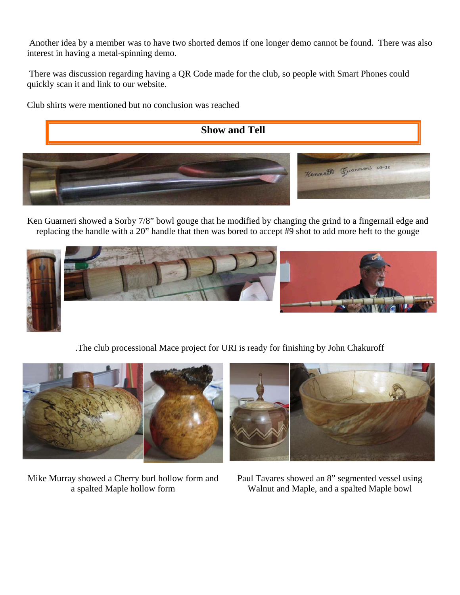Another idea by a member was to have two shorted demos if one longer demo cannot be found. There was also interest in having a metal-spinning demo.

 There was discussion regarding having a QR Code made for the club, so people with Smart Phones could quickly scan it and link to our website.

Club shirts were mentioned but no conclusion was reached



Ken Guarneri showed a Sorby 7/8" bowl gouge that he modified by changing the grind to a fingernail edge and replacing the handle with a 20" handle that then was bored to accept #9 shot to add more heft to the gouge



.The club processional Mace project for URI is ready for finishing by John Chakuroff



Mike Murray showed a Cherry burl hollow form and a spalted Maple hollow form

Paul Tavares showed an 8" segmented vessel using Walnut and Maple, and a spalted Maple bowl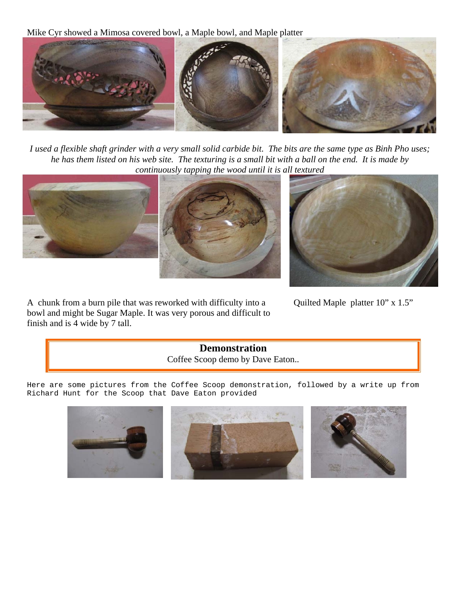Mike Cyr showed a Mimosa covered bowl, a Maple bowl, and Maple platter



*I used a flexible shaft grinder with a very small solid carbide bit. The bits are the same type as Binh Pho uses; he has them listed on his web site. The texturing is a small bit with a ball on the end. It is made by continuously tapping the wood until it is all textured* 





A chunk from a burn pile that was reworked with difficulty into a bowl and might be Sugar Maple. It was very porous and difficult to finish and is 4 wide by 7 tall.

Quilted Maple platter 10" x 1.5"

### **Demonstration**  Coffee Scoop demo by Dave Eaton..

Here are some pictures from the Coffee Scoop demonstration, followed by a write up from Richard Hunt for the Scoop that Dave Eaton provided

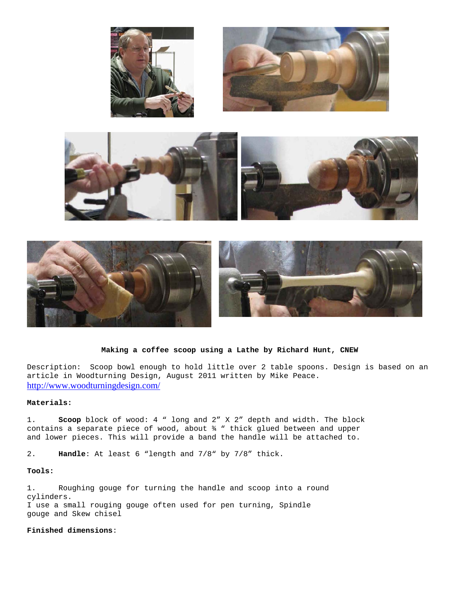





#### **Making a coffee scoop using a Lathe by Richard Hunt, CNEW**

Description: Scoop bowl enough to hold little over 2 table spoons. Design is based on an article in Woodturning Design, August 2011 written by Mike Peace. http://www.woodturningdesign.com/

#### **Materials:**

1. **Scoop** block of wood: 4 " long and 2" X 2" depth and width. The block contains a separate piece of wood, about ¾ " thick glued between and upper and lower pieces. This will provide a band the handle will be attached to.

2. **Handle**: At least 6 "length and 7/8" by 7/8" thick.

#### **Tools:**

1. Roughing gouge for turning the handle and scoop into a round cylinders. I use a small rouging gouge often used for pen turning, Spindle gouge and Skew chisel

**Finished dimensions**: